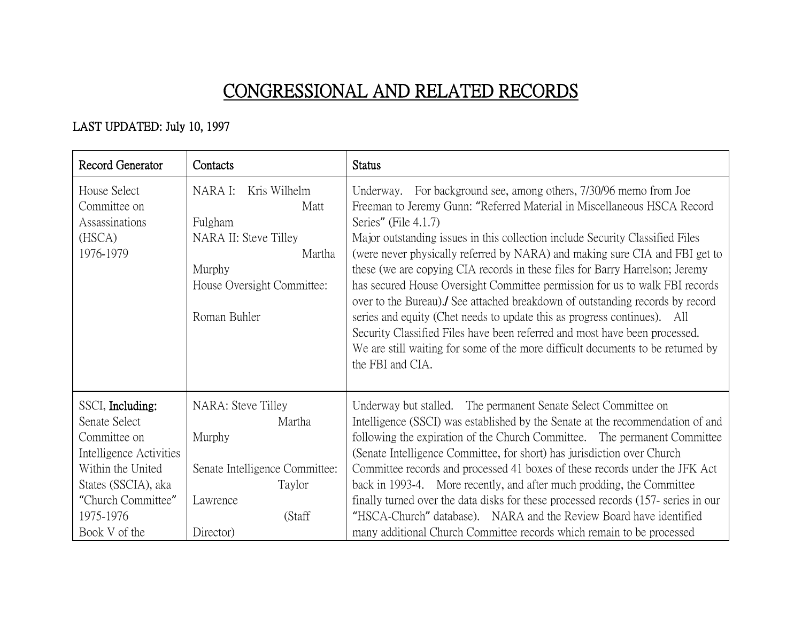## CONGRESSIONAL AND RELATED RECORDS

## LAST UPDATED: July 10, 1997

| Record Generator                                                                                                                                                             | Contacts                                                                                                                              | <b>Status</b>                                                                                                                                                                                                                                                                                                                                                                                                                                                                                                                                                                                                                                                                                                                                                                                                                                        |
|------------------------------------------------------------------------------------------------------------------------------------------------------------------------------|---------------------------------------------------------------------------------------------------------------------------------------|------------------------------------------------------------------------------------------------------------------------------------------------------------------------------------------------------------------------------------------------------------------------------------------------------------------------------------------------------------------------------------------------------------------------------------------------------------------------------------------------------------------------------------------------------------------------------------------------------------------------------------------------------------------------------------------------------------------------------------------------------------------------------------------------------------------------------------------------------|
| House Select<br>Committee on<br>Assassinations<br>(HSCA)<br>1976-1979                                                                                                        | Kris Wilhelm<br>NARA I:<br>Matt<br>Fulgham<br>NARA II: Steve Tilley<br>Martha<br>Murphy<br>House Oversight Committee:<br>Roman Buhler | Underway. For background see, among others, 7/30/96 memo from Joe<br>Freeman to Jeremy Gunn: "Referred Material in Miscellaneous HSCA Record<br>Series" (File 4.1.7)<br>Major outstanding issues in this collection include Security Classified Files<br>(were never physically referred by NARA) and making sure CIA and FBI get to<br>these (we are copying CIA records in these files for Barry Harrelson; Jeremy<br>has secured House Oversight Committee permission for us to walk FBI records<br>over to the Bureau). See attached breakdown of outstanding records by record<br>series and equity (Chet needs to update this as progress continues). All<br>Security Classified Files have been referred and most have been processed.<br>We are still waiting for some of the more difficult documents to be returned by<br>the FBI and CIA. |
| SSCI, Including:<br>Senate Select<br>Committee on<br>Intelligence Activities<br>Within the United<br>States (SSCIA), aka<br>"Church Committee"<br>1975-1976<br>Book V of the | NARA: Steve Tilley<br>Martha<br>Murphy<br>Senate Intelligence Committee:<br>Taylor<br>Lawrence<br>(Staff<br>Director)                 | Underway but stalled. The permanent Senate Select Committee on<br>Intelligence (SSCI) was established by the Senate at the recommendation of and<br>following the expiration of the Church Committee. The permanent Committee<br>(Senate Intelligence Committee, for short) has jurisdiction over Church<br>Committee records and processed 41 boxes of these records under the JFK Act<br>back in 1993-4. More recently, and after much prodding, the Committee<br>finally turned over the data disks for these processed records (157-series in our<br>"HSCA-Church" database). NARA and the Review Board have identified<br>many additional Church Committee records which remain to be processed                                                                                                                                                 |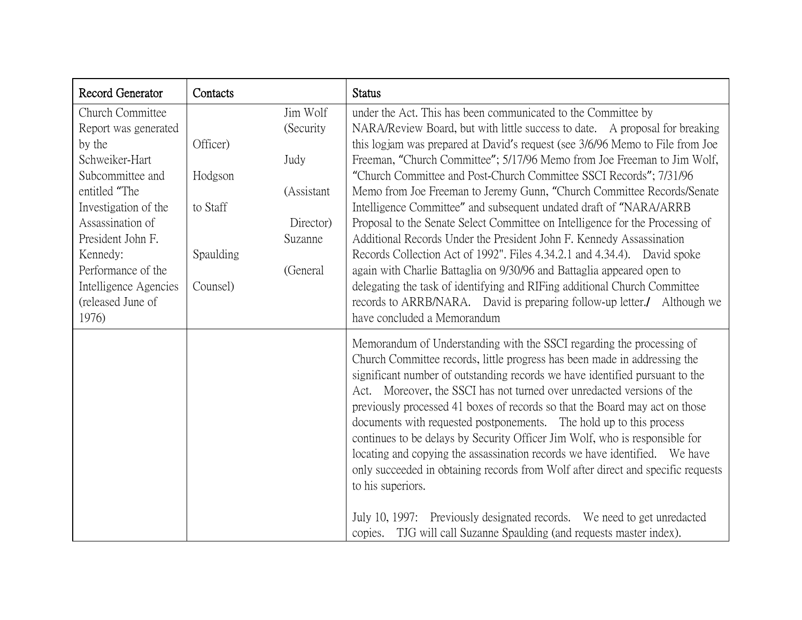| Record Generator      | Contacts  |            | <b>Status</b>                                                                                                                                                                                                                                                                                                                                                                                                                                                                                                                                                                                                                                                                                                                                                                                                       |
|-----------------------|-----------|------------|---------------------------------------------------------------------------------------------------------------------------------------------------------------------------------------------------------------------------------------------------------------------------------------------------------------------------------------------------------------------------------------------------------------------------------------------------------------------------------------------------------------------------------------------------------------------------------------------------------------------------------------------------------------------------------------------------------------------------------------------------------------------------------------------------------------------|
| Church Committee      |           | Jim Wolf   | under the Act. This has been communicated to the Committee by                                                                                                                                                                                                                                                                                                                                                                                                                                                                                                                                                                                                                                                                                                                                                       |
| Report was generated  |           | (Security) | NARA/Review Board, but with little success to date. A proposal for breaking                                                                                                                                                                                                                                                                                                                                                                                                                                                                                                                                                                                                                                                                                                                                         |
| by the                | Officer)  |            | this logjam was prepared at David's request (see 3/6/96 Memo to File from Joe                                                                                                                                                                                                                                                                                                                                                                                                                                                                                                                                                                                                                                                                                                                                       |
| Schweiker-Hart        |           | Judy       | Freeman, "Church Committee"; 5/17/96 Memo from Joe Freeman to Jim Wolf,                                                                                                                                                                                                                                                                                                                                                                                                                                                                                                                                                                                                                                                                                                                                             |
| Subcommittee and      | Hodgson   |            | "Church Committee and Post-Church Committee SSCI Records"; 7/31/96                                                                                                                                                                                                                                                                                                                                                                                                                                                                                                                                                                                                                                                                                                                                                  |
| entitled "The         |           | (Assistant | Memo from Joe Freeman to Jeremy Gunn, "Church Committee Records/Senate                                                                                                                                                                                                                                                                                                                                                                                                                                                                                                                                                                                                                                                                                                                                              |
| Investigation of the  | to Staff  |            | Intelligence Committee" and subsequent undated draft of "NARA/ARRB"                                                                                                                                                                                                                                                                                                                                                                                                                                                                                                                                                                                                                                                                                                                                                 |
| Assassination of      |           | Director)  | Proposal to the Senate Select Committee on Intelligence for the Processing of                                                                                                                                                                                                                                                                                                                                                                                                                                                                                                                                                                                                                                                                                                                                       |
| President John F.     |           | Suzanne    | Additional Records Under the President John F. Kennedy Assassination                                                                                                                                                                                                                                                                                                                                                                                                                                                                                                                                                                                                                                                                                                                                                |
| Kennedy:              | Spaulding |            | Records Collection Act of 1992". Files 4.34.2.1 and 4.34.4). David spoke                                                                                                                                                                                                                                                                                                                                                                                                                                                                                                                                                                                                                                                                                                                                            |
| Performance of the    |           | (General   | again with Charlie Battaglia on 9/30/96 and Battaglia appeared open to                                                                                                                                                                                                                                                                                                                                                                                                                                                                                                                                                                                                                                                                                                                                              |
| Intelligence Agencies | Counsel)  |            | delegating the task of identifying and RIFing additional Church Committee                                                                                                                                                                                                                                                                                                                                                                                                                                                                                                                                                                                                                                                                                                                                           |
| (released June of     |           |            | records to ARRB/NARA. David is preparing follow-up letter./ Although we                                                                                                                                                                                                                                                                                                                                                                                                                                                                                                                                                                                                                                                                                                                                             |
| 1976)                 |           |            | have concluded a Memorandum                                                                                                                                                                                                                                                                                                                                                                                                                                                                                                                                                                                                                                                                                                                                                                                         |
|                       |           |            | Memorandum of Understanding with the SSCI regarding the processing of<br>Church Committee records, little progress has been made in addressing the<br>significant number of outstanding records we have identified pursuant to the<br>Act. Moreover, the SSCI has not turned over unredacted versions of the<br>previously processed 41 boxes of records so that the Board may act on those<br>documents with requested postponements. The hold up to this process<br>continues to be delays by Security Officer Jim Wolf, who is responsible for<br>locating and copying the assassination records we have identified. We have<br>only succeeded in obtaining records from Wolf after direct and specific requests<br>to his superiors.<br>July 10, 1997: Previously designated records. We need to get unredacted |
|                       |           |            | copies. TJG will call Suzanne Spaulding (and requests master index).                                                                                                                                                                                                                                                                                                                                                                                                                                                                                                                                                                                                                                                                                                                                                |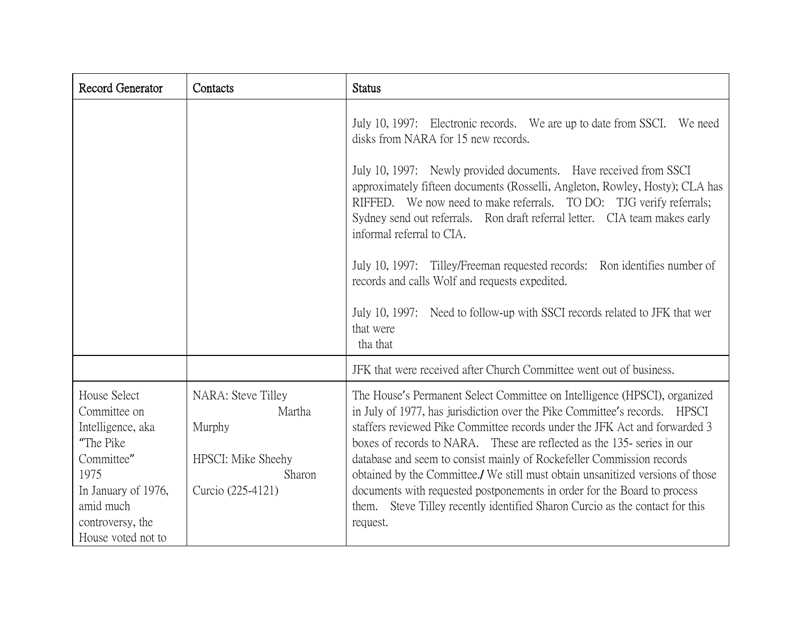| Record Generator                                                                                                                                                   | Contacts                                                                                    | <b>Status</b>                                                                                                                                                                                                                                                                                                                                                                                                                                                                                                                                                                                                                                                                                 |
|--------------------------------------------------------------------------------------------------------------------------------------------------------------------|---------------------------------------------------------------------------------------------|-----------------------------------------------------------------------------------------------------------------------------------------------------------------------------------------------------------------------------------------------------------------------------------------------------------------------------------------------------------------------------------------------------------------------------------------------------------------------------------------------------------------------------------------------------------------------------------------------------------------------------------------------------------------------------------------------|
|                                                                                                                                                                    |                                                                                             | July 10, 1997: Electronic records. We are up to date from SSCI.<br>We need<br>disks from NARA for 15 new records.<br>July 10, 1997: Newly provided documents. Have received from SSCI<br>approximately fifteen documents (Rosselli, Angleton, Rowley, Hosty); CLA has<br>RIFFED. We now need to make referrals. TO DO: TJG verify referrals;<br>Sydney send out referrals. Ron draft referral letter. CIA team makes early<br>informal referral to CIA.<br>July 10, 1997: Tilley/Freeman requested records: Ron identifies number of<br>records and calls Wolf and requests expedited.<br>July 10, 1997: Need to follow-up with SSCI records related to JFK that wer<br>that were<br>tha that |
|                                                                                                                                                                    |                                                                                             | JFK that were received after Church Committee went out of business.                                                                                                                                                                                                                                                                                                                                                                                                                                                                                                                                                                                                                           |
| House Select<br>Committee on<br>Intelligence, aka<br>"The Pike<br>Committee"<br>1975<br>In January of 1976,<br>amid much<br>controversy, the<br>House voted not to | NARA: Steve Tilley<br>Martha<br>Murphy<br>HPSCI: Mike Sheehy<br>Sharon<br>Curcio (225-4121) | The House's Permanent Select Committee on Intelligence (HPSCI), organized<br>in July of 1977, has jurisdiction over the Pike Committee's records. HPSCI<br>staffers reviewed Pike Committee records under the JFK Act and forwarded 3<br>boxes of records to NARA. These are reflected as the 135- series in our<br>database and seem to consist mainly of Rockefeller Commission records<br>obtained by the Committee./ We still must obtain unsanitized versions of those<br>documents with requested postponements in order for the Board to process<br>them. Steve Tilley recently identified Sharon Curcio as the contact for this<br>request.                                           |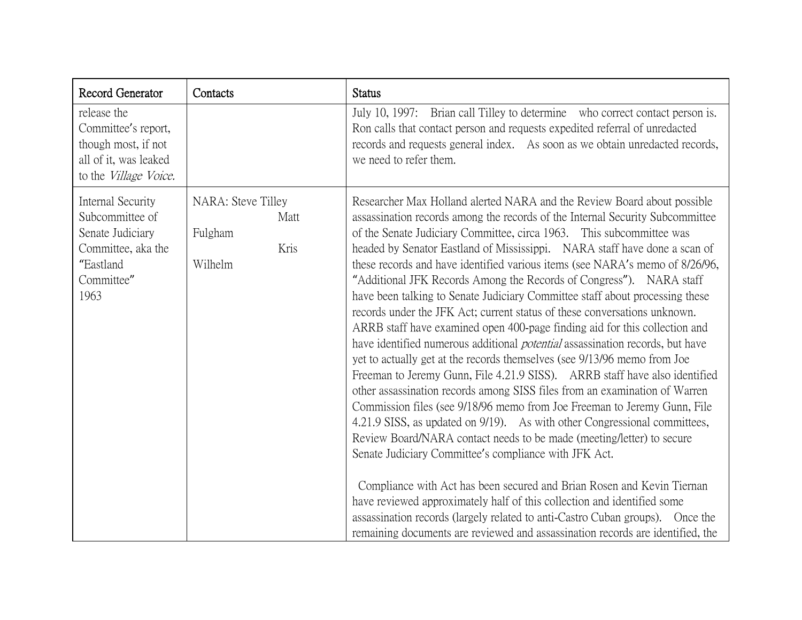| Record Generator                                                                                                    | Contacts                                                 | <b>Status</b>                                                                                                                                                                                                                                                                                                                                                                                                                                                                                                                                                                                                                                                                                                                                                                                                                                                                                                                                                                                                                                                                                                                                                                                                                                                                                                                                                                                                                                                                                                                                                                                                                                                      |
|---------------------------------------------------------------------------------------------------------------------|----------------------------------------------------------|--------------------------------------------------------------------------------------------------------------------------------------------------------------------------------------------------------------------------------------------------------------------------------------------------------------------------------------------------------------------------------------------------------------------------------------------------------------------------------------------------------------------------------------------------------------------------------------------------------------------------------------------------------------------------------------------------------------------------------------------------------------------------------------------------------------------------------------------------------------------------------------------------------------------------------------------------------------------------------------------------------------------------------------------------------------------------------------------------------------------------------------------------------------------------------------------------------------------------------------------------------------------------------------------------------------------------------------------------------------------------------------------------------------------------------------------------------------------------------------------------------------------------------------------------------------------------------------------------------------------------------------------------------------------|
| release the<br>Committee's report,<br>though most, if not<br>all of it, was leaked<br>to the <i>Village Voice</i> . |                                                          | July 10, 1997: Brian call Tilley to determine who correct contact person is.<br>Ron calls that contact person and requests expedited referral of unredacted<br>records and requests general index. As soon as we obtain unredacted records,<br>we need to refer them.                                                                                                                                                                                                                                                                                                                                                                                                                                                                                                                                                                                                                                                                                                                                                                                                                                                                                                                                                                                                                                                                                                                                                                                                                                                                                                                                                                                              |
| Internal Security<br>Subcommittee of<br>Senate Judiciary<br>Committee, aka the<br>"Eastland<br>Committee"<br>1963   | NARA: Steve Tilley<br>Matt<br>Fulgham<br>Kris<br>Wilhelm | Researcher Max Holland alerted NARA and the Review Board about possible<br>assassination records among the records of the Internal Security Subcommittee<br>of the Senate Judiciary Committee, circa 1963. This subcommittee was<br>headed by Senator Eastland of Mississippi. NARA staff have done a scan of<br>these records and have identified various items (see NARA's memo of 8/26/96,<br>"Additional JFK Records Among the Records of Congress"). NARA staff<br>have been talking to Senate Judiciary Committee staff about processing these<br>records under the JFK Act; current status of these conversations unknown.<br>ARRB staff have examined open 400-page finding aid for this collection and<br>have identified numerous additional <i>potential</i> assassination records, but have<br>yet to actually get at the records themselves (see 9/13/96 memo from Joe<br>Freeman to Jeremy Gunn, File 4.21.9 SISS). ARRB staff have also identified<br>other assassination records among SISS files from an examination of Warren<br>Commission files (see 9/18/96 memo from Joe Freeman to Jeremy Gunn, File<br>4.21.9 SISS, as updated on 9/19). As with other Congressional committees,<br>Review Board/NARA contact needs to be made (meeting/letter) to secure<br>Senate Judiciary Committee's compliance with JFK Act.<br>Compliance with Act has been secured and Brian Rosen and Kevin Tiernan<br>have reviewed approximately half of this collection and identified some<br>assassination records (largely related to anti-Castro Cuban groups). Once the<br>remaining documents are reviewed and assassination records are identified, the |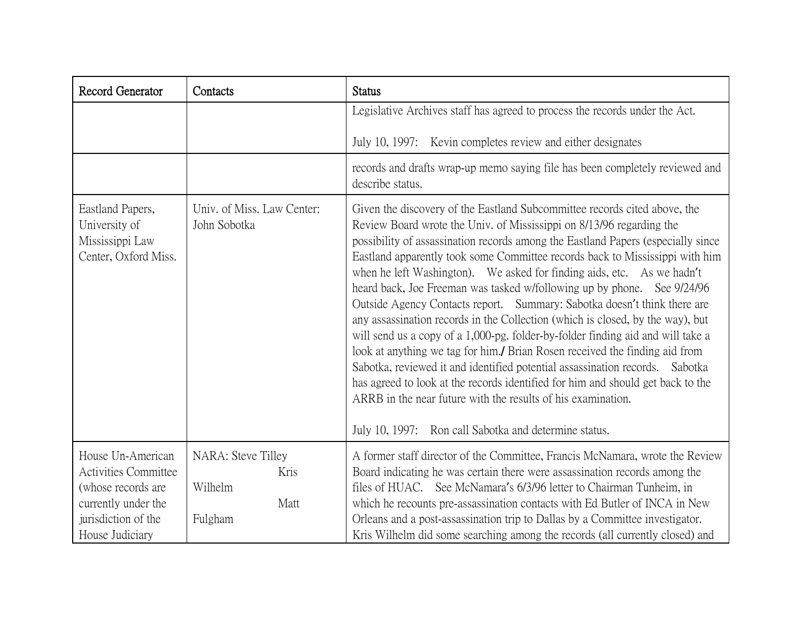| Record Generator                                                             | Contacts                                   | <b>Status</b>                                                                                                                                                                                                                                                                                                                                                                                                                                                                                                                                                                                                                                                                                                                                                                                                                                                                                                                                                                                                                                                                                          |
|------------------------------------------------------------------------------|--------------------------------------------|--------------------------------------------------------------------------------------------------------------------------------------------------------------------------------------------------------------------------------------------------------------------------------------------------------------------------------------------------------------------------------------------------------------------------------------------------------------------------------------------------------------------------------------------------------------------------------------------------------------------------------------------------------------------------------------------------------------------------------------------------------------------------------------------------------------------------------------------------------------------------------------------------------------------------------------------------------------------------------------------------------------------------------------------------------------------------------------------------------|
|                                                                              |                                            | Legislative Archives staff has agreed to process the records under the Act.                                                                                                                                                                                                                                                                                                                                                                                                                                                                                                                                                                                                                                                                                                                                                                                                                                                                                                                                                                                                                            |
|                                                                              |                                            | July 10, 1997: Kevin completes review and either designates                                                                                                                                                                                                                                                                                                                                                                                                                                                                                                                                                                                                                                                                                                                                                                                                                                                                                                                                                                                                                                            |
|                                                                              |                                            | records and drafts wrap-up memo saying file has been completely reviewed and<br>describe status.                                                                                                                                                                                                                                                                                                                                                                                                                                                                                                                                                                                                                                                                                                                                                                                                                                                                                                                                                                                                       |
| Eastland Papers,<br>University of<br>Mississippi Law<br>Center, Oxford Miss. | Univ. of Miss. Law Center:<br>John Sobotka | Given the discovery of the Eastland Subcommittee records cited above, the<br>Review Board wrote the Univ. of Mississippi on 8/13/96 regarding the<br>possibility of assassination records among the Eastland Papers (especially since<br>Eastland apparently took some Committee records back to Mississippi with him<br>when he left Washington). We asked for finding aids, etc. As we hadn't<br>heard back, Joe Freeman was tasked w/following up by phone. See 9/24/96<br>Outside Agency Contacts report. Summary: Sabotka doesn't think there are<br>any assassination records in the Collection (which is closed, by the way), but<br>will send us a copy of a 1,000-pg. folder-by-folder finding aid and will take a<br>look at anything we tag for him./ Brian Rosen received the finding aid from<br>Sabotka, reviewed it and identified potential assassination records. Sabotka<br>has agreed to look at the records identified for him and should get back to the<br>ARRB in the near future with the results of his examination.<br>July 10, 1997: Ron call Sabotka and determine status. |
| House Un-American                                                            | NARA: Steve Tilley                         | A former staff director of the Committee, Francis McNamara, wrote the Review                                                                                                                                                                                                                                                                                                                                                                                                                                                                                                                                                                                                                                                                                                                                                                                                                                                                                                                                                                                                                           |
| <b>Activities Committee</b>                                                  | Kris                                       | Board indicating he was certain there were assassination records among the                                                                                                                                                                                                                                                                                                                                                                                                                                                                                                                                                                                                                                                                                                                                                                                                                                                                                                                                                                                                                             |
| (whose records are<br>currently under the                                    | Wilhelm<br>Matt                            | files of HUAC. See McNamara's 6/3/96 letter to Chairman Tunheim, in<br>which he recounts pre-assassination contacts with Ed Butler of INCA in New                                                                                                                                                                                                                                                                                                                                                                                                                                                                                                                                                                                                                                                                                                                                                                                                                                                                                                                                                      |
| jurisdiction of the<br>House Judiciary                                       | Fulgham                                    | Orleans and a post-assassination trip to Dallas by a Committee investigator.<br>Kris Wilhelm did some searching among the records (all currently closed) and                                                                                                                                                                                                                                                                                                                                                                                                                                                                                                                                                                                                                                                                                                                                                                                                                                                                                                                                           |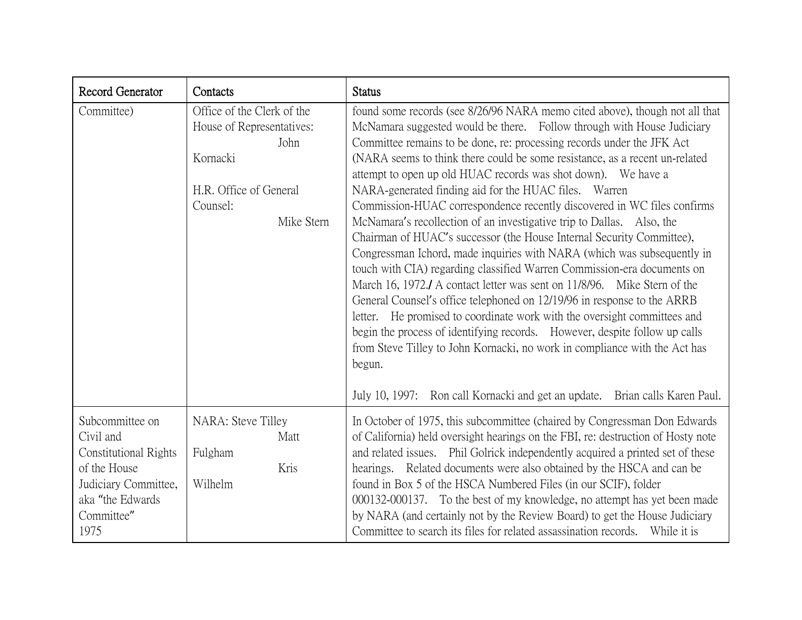| Record Generator                                                                                                                               | Contacts                                                                                                                        | <b>Status</b>                                                                                                                                                                                                                                                                                                                                                                                                                                                                                                                                                                                                                                                                                                                                                                                                                                                                                                                                                                                                                                                                                                                                                                                                                                                                                                       |
|------------------------------------------------------------------------------------------------------------------------------------------------|---------------------------------------------------------------------------------------------------------------------------------|---------------------------------------------------------------------------------------------------------------------------------------------------------------------------------------------------------------------------------------------------------------------------------------------------------------------------------------------------------------------------------------------------------------------------------------------------------------------------------------------------------------------------------------------------------------------------------------------------------------------------------------------------------------------------------------------------------------------------------------------------------------------------------------------------------------------------------------------------------------------------------------------------------------------------------------------------------------------------------------------------------------------------------------------------------------------------------------------------------------------------------------------------------------------------------------------------------------------------------------------------------------------------------------------------------------------|
| Committee)                                                                                                                                     | Office of the Clerk of the<br>House of Representatives:<br>John<br>Kornacki<br>H.R. Office of General<br>Counsel:<br>Mike Stern | found some records (see 8/26/96 NARA memo cited above), though not all that<br>McNamara suggested would be there. Follow through with House Judiciary<br>Committee remains to be done, re: processing records under the JFK Act<br>(NARA seems to think there could be some resistance, as a recent un-related<br>attempt to open up old HUAC records was shot down). We have a<br>NARA-generated finding aid for the HUAC files. Warren<br>Commission-HUAC correspondence recently discovered in WC files confirms<br>McNamara's recollection of an investigative trip to Dallas. Also, the<br>Chairman of HUAC's successor (the House Internal Security Committee),<br>Congressman Ichord, made inquiries with NARA (which was subsequently in<br>touch with CIA) regarding classified Warren Commission-era documents on<br>March 16, 1972./ A contact letter was sent on 11/8/96. Mike Stern of the<br>General Counsel's office telephoned on 12/19/96 in response to the ARRB<br>letter. He promised to coordinate work with the oversight committees and<br>begin the process of identifying records. However, despite follow up calls<br>from Steve Tilley to John Kornacki, no work in compliance with the Act has<br>begun.<br>July 10, 1997: Ron call Kornacki and get an update. Brian calls Karen Paul. |
| Subcommittee on<br>Civil and<br><b>Constitutional Rights</b><br>of the House<br>Judiciary Committee,<br>aka "the Edwards<br>Committee"<br>1975 | NARA: Steve Tilley<br>Matt<br>Fulgham<br>Kris<br>Wilhelm                                                                        | In October of 1975, this subcommittee (chaired by Congressman Don Edwards<br>of California) held oversight hearings on the FBI, re: destruction of Hosty note<br>and related issues. Phil Golrick independently acquired a printed set of these<br>hearings. Related documents were also obtained by the HSCA and can be<br>found in Box 5 of the HSCA Numbered Files (in our SCIF), folder<br>000132-000137. To the best of my knowledge, no attempt has yet been made<br>by NARA (and certainly not by the Review Board) to get the House Judiciary<br>Committee to search its files for related assassination records. While it is                                                                                                                                                                                                                                                                                                                                                                                                                                                                                                                                                                                                                                                                               |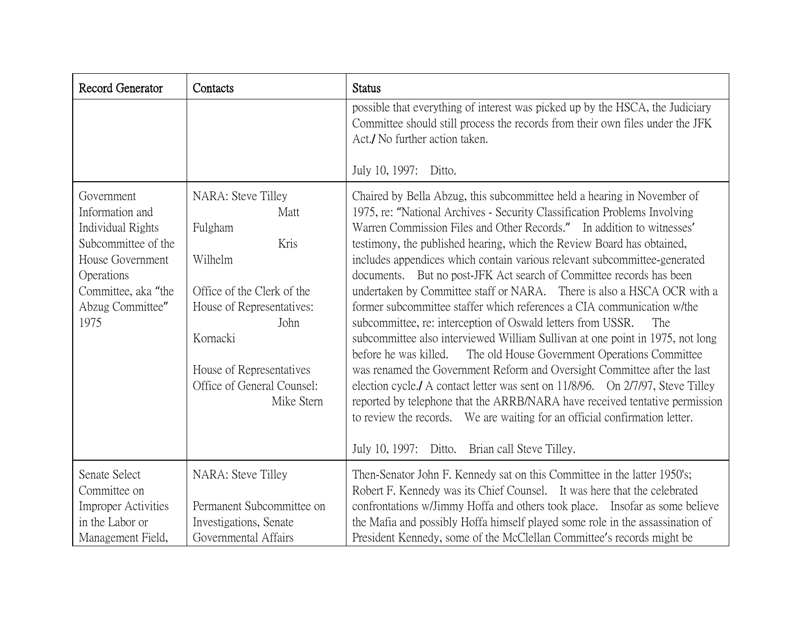| Record Generator                                                                                                                                                      | Contacts                                                                                                                                                                                                        | <b>Status</b>                                                                                                                                                                                                                                                                                                                                                                                                                                                                                                                                                                                                                                                                                                                                                                                                                                                                                                                                                                                                                                                                                                                                                                                                                 |
|-----------------------------------------------------------------------------------------------------------------------------------------------------------------------|-----------------------------------------------------------------------------------------------------------------------------------------------------------------------------------------------------------------|-------------------------------------------------------------------------------------------------------------------------------------------------------------------------------------------------------------------------------------------------------------------------------------------------------------------------------------------------------------------------------------------------------------------------------------------------------------------------------------------------------------------------------------------------------------------------------------------------------------------------------------------------------------------------------------------------------------------------------------------------------------------------------------------------------------------------------------------------------------------------------------------------------------------------------------------------------------------------------------------------------------------------------------------------------------------------------------------------------------------------------------------------------------------------------------------------------------------------------|
|                                                                                                                                                                       |                                                                                                                                                                                                                 | possible that everything of interest was picked up by the HSCA, the Judiciary<br>Committee should still process the records from their own files under the JFK<br>Act./ No further action taken.                                                                                                                                                                                                                                                                                                                                                                                                                                                                                                                                                                                                                                                                                                                                                                                                                                                                                                                                                                                                                              |
|                                                                                                                                                                       |                                                                                                                                                                                                                 | July 10, 1997: Ditto.                                                                                                                                                                                                                                                                                                                                                                                                                                                                                                                                                                                                                                                                                                                                                                                                                                                                                                                                                                                                                                                                                                                                                                                                         |
| Government<br>Information and<br><b>Individual Rights</b><br>Subcommittee of the<br>House Government<br>Operations<br>Committee, aka "the<br>Abzug Committee"<br>1975 | NARA: Steve Tilley<br>Matt<br>Fulgham<br>Kris<br>Wilhelm<br>Office of the Clerk of the<br>House of Representatives:<br>John<br>Kornacki<br>House of Representatives<br>Office of General Counsel:<br>Mike Stern | Chaired by Bella Abzug, this subcommittee held a hearing in November of<br>1975, re: "National Archives - Security Classification Problems Involving<br>Warren Commission Files and Other Records." In addition to witnesses'<br>testimony, the published hearing, which the Review Board has obtained,<br>includes appendices which contain various relevant subcommittee-generated<br>documents. But no post-JFK Act search of Committee records has been<br>undertaken by Committee staff or NARA. There is also a HSCA OCR with a<br>former subcommittee staffer which references a CIA communication w/the<br>subcommittee, re: interception of Oswald letters from USSR.<br>The<br>subcommittee also interviewed William Sullivan at one point in 1975, not long<br>before he was killed.<br>The old House Government Operations Committee<br>was renamed the Government Reform and Oversight Committee after the last<br>election cycle./ A contact letter was sent on 11/8/96. On 2/7/97, Steve Tilley<br>reported by telephone that the ARRB/NARA have received tentative permission<br>to review the records. We are waiting for an official confirmation letter.<br>July 10, 1997: Ditto. Brian call Steve Tilley. |
| Senate Select<br>Committee on<br><b>Improper Activities</b><br>in the Labor or<br>Management Field,                                                                   | NARA: Steve Tilley<br>Permanent Subcommittee on<br>Investigations, Senate<br>Governmental Affairs                                                                                                               | Then-Senator John F. Kennedy sat on this Committee in the latter 1950's;<br>Robert F. Kennedy was its Chief Counsel. It was here that the celebrated<br>confrontations w/Jimmy Hoffa and others took place. Insofar as some believe<br>the Mafia and possibly Hoffa himself played some role in the assassination of<br>President Kennedy, some of the McClellan Committee's records might be                                                                                                                                                                                                                                                                                                                                                                                                                                                                                                                                                                                                                                                                                                                                                                                                                                 |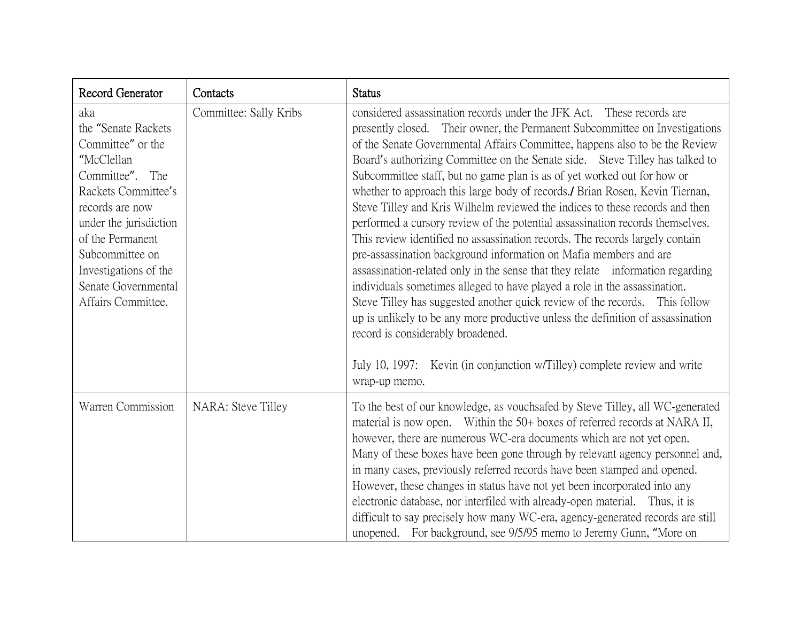| Record Generator                                                                                                                                                                                                                                                   | Contacts               | <b>Status</b>                                                                                                                                                                                                                                                                                                                                                                                                                                                                                                                                                                                                                                                                                                                                                                                                                                                                                                                                                                                                                                                                                                                                                                                                                                             |
|--------------------------------------------------------------------------------------------------------------------------------------------------------------------------------------------------------------------------------------------------------------------|------------------------|-----------------------------------------------------------------------------------------------------------------------------------------------------------------------------------------------------------------------------------------------------------------------------------------------------------------------------------------------------------------------------------------------------------------------------------------------------------------------------------------------------------------------------------------------------------------------------------------------------------------------------------------------------------------------------------------------------------------------------------------------------------------------------------------------------------------------------------------------------------------------------------------------------------------------------------------------------------------------------------------------------------------------------------------------------------------------------------------------------------------------------------------------------------------------------------------------------------------------------------------------------------|
| aka<br>the "Senate Rackets"<br>Committee" or the<br>"McClellan<br>Committee". The<br>Rackets Committee's<br>records are now<br>under the jurisdiction<br>of the Permanent<br>Subcommittee on<br>Investigations of the<br>Senate Governmental<br>Affairs Committee. | Committee: Sally Kribs | considered assassination records under the JFK Act. These records are<br>presently closed. Their owner, the Permanent Subcommittee on Investigations<br>of the Senate Governmental Affairs Committee, happens also to be the Review<br>Board's authorizing Committee on the Senate side. Steve Tilley has talked to<br>Subcommittee staff, but no game plan is as of yet worked out for how or<br>whether to approach this large body of records./ Brian Rosen, Kevin Tiernan,<br>Steve Tilley and Kris Wilhelm reviewed the indices to these records and then<br>performed a cursory review of the potential assassination records themselves.<br>This review identified no assassination records. The records largely contain<br>pre-assassination background information on Mafia members and are<br>assassination-related only in the sense that they relate information regarding<br>individuals sometimes alleged to have played a role in the assassination.<br>Steve Tilley has suggested another quick review of the records.<br>This follow<br>up is unlikely to be any more productive unless the definition of assassination<br>record is considerably broadened.<br>July 10, 1997: Kevin (in conjunction w/Tilley) complete review and write |
| Warren Commission                                                                                                                                                                                                                                                  | NARA: Steve Tilley     | wrap-up memo.<br>To the best of our knowledge, as vouchsafed by Steve Tilley, all WC-generated<br>material is now open. Within the 50+ boxes of referred records at NARA II,<br>however, there are numerous WC-era documents which are not yet open.<br>Many of these boxes have been gone through by relevant agency personnel and,<br>in many cases, previously referred records have been stamped and opened.<br>However, these changes in status have not yet been incorporated into any<br>electronic database, nor interfiled with already-open material. Thus, it is<br>difficult to say precisely how many WC-era, agency-generated records are still<br>unopened. For background, see 9/5/95 memo to Jeremy Gunn, "More on                                                                                                                                                                                                                                                                                                                                                                                                                                                                                                                       |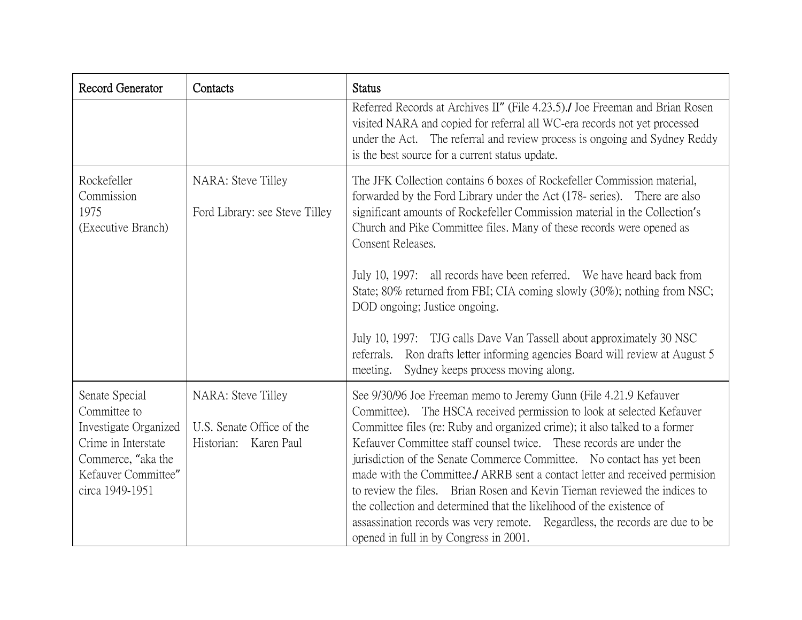| Record Generator                                                                                                                               | Contacts                                                                 | <b>Status</b>                                                                                                                                                                                                                                                                                                                                                                                                                                                                                                                                                                                                                                                                                                                            |
|------------------------------------------------------------------------------------------------------------------------------------------------|--------------------------------------------------------------------------|------------------------------------------------------------------------------------------------------------------------------------------------------------------------------------------------------------------------------------------------------------------------------------------------------------------------------------------------------------------------------------------------------------------------------------------------------------------------------------------------------------------------------------------------------------------------------------------------------------------------------------------------------------------------------------------------------------------------------------------|
|                                                                                                                                                |                                                                          | Referred Records at Archives II" (File 4.23.5). Joe Freeman and Brian Rosen<br>visited NARA and copied for referral all WC-era records not yet processed<br>under the Act. The referral and review process is ongoing and Sydney Reddy<br>is the best source for a current status update.                                                                                                                                                                                                                                                                                                                                                                                                                                                |
| Rockefeller<br>Commission<br>1975<br>(Executive Branch)                                                                                        | NARA: Steve Tilley<br>Ford Library: see Steve Tilley                     | The JFK Collection contains 6 boxes of Rockefeller Commission material,<br>forwarded by the Ford Library under the Act (178- series). There are also<br>significant amounts of Rockefeller Commission material in the Collection's<br>Church and Pike Committee files. Many of these records were opened as<br>Consent Releases.<br>July 10, 1997: all records have been referred. We have heard back from                                                                                                                                                                                                                                                                                                                               |
|                                                                                                                                                |                                                                          | State; 80% returned from FBI; CIA coming slowly (30%); nothing from NSC;<br>DOD ongoing; Justice ongoing.                                                                                                                                                                                                                                                                                                                                                                                                                                                                                                                                                                                                                                |
|                                                                                                                                                |                                                                          | July 10, 1997: TJG calls Dave Van Tassell about approximately 30 NSC<br>Ron drafts letter informing agencies Board will review at August 5<br>referrals.<br>Sydney keeps process moving along.<br>meeting.                                                                                                                                                                                                                                                                                                                                                                                                                                                                                                                               |
| Senate Special<br>Committee to<br>Investigate Organized<br>Crime in Interstate<br>Commerce, "aka the<br>Kefauver Committee"<br>circa 1949-1951 | NARA: Steve Tilley<br>U.S. Senate Office of the<br>Historian: Karen Paul | See 9/30/96 Joe Freeman memo to Jeremy Gunn (File 4.21.9 Kefauver<br>Committee). The HSCA received permission to look at selected Kefauver<br>Committee files (re: Ruby and organized crime); it also talked to a former<br>Kefauver Committee staff counsel twice. These records are under the<br>jurisdiction of the Senate Commerce Committee. No contact has yet been<br>made with the Committee. ARRB sent a contact letter and received permision<br>to review the files. Brian Rosen and Kevin Tiernan reviewed the indices to<br>the collection and determined that the likelihood of the existence of<br>assassination records was very remote. Regardless, the records are due to be<br>opened in full in by Congress in 2001. |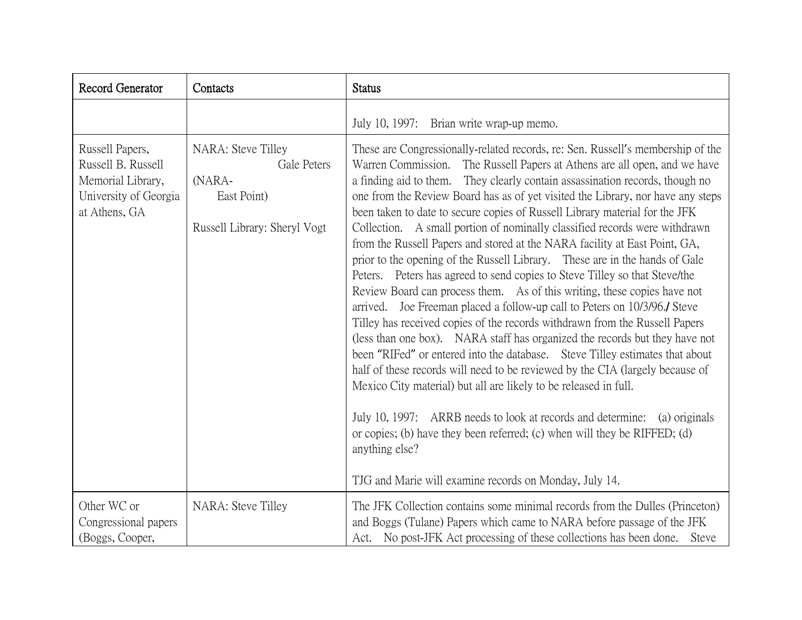| Record Generator                                                                                     | Contacts                                                                                   | <b>Status</b>                                                                                                                                                                                                                                                                                                                                                                                                                                                                                                                                                                                                                                                                                                                                                                                                                                                                                                                                                                                                                                                                                                                                                                                                                                                                                                                                                                                                                                                                                                                            |
|------------------------------------------------------------------------------------------------------|--------------------------------------------------------------------------------------------|------------------------------------------------------------------------------------------------------------------------------------------------------------------------------------------------------------------------------------------------------------------------------------------------------------------------------------------------------------------------------------------------------------------------------------------------------------------------------------------------------------------------------------------------------------------------------------------------------------------------------------------------------------------------------------------------------------------------------------------------------------------------------------------------------------------------------------------------------------------------------------------------------------------------------------------------------------------------------------------------------------------------------------------------------------------------------------------------------------------------------------------------------------------------------------------------------------------------------------------------------------------------------------------------------------------------------------------------------------------------------------------------------------------------------------------------------------------------------------------------------------------------------------------|
|                                                                                                      |                                                                                            | July 10, 1997: Brian write wrap-up memo.                                                                                                                                                                                                                                                                                                                                                                                                                                                                                                                                                                                                                                                                                                                                                                                                                                                                                                                                                                                                                                                                                                                                                                                                                                                                                                                                                                                                                                                                                                 |
| Russell Papers,<br>Russell B. Russell<br>Memorial Library,<br>University of Georgia<br>at Athens, GA | NARA: Steve Tilley<br>Gale Peters<br>(NARA-<br>East Point)<br>Russell Library: Sheryl Vogt | These are Congressionally-related records, re: Sen. Russell's membership of the<br>Warren Commission. The Russell Papers at Athens are all open, and we have<br>a finding aid to them. They clearly contain assassination records, though no<br>one from the Review Board has as of yet visited the Library, nor have any steps<br>been taken to date to secure copies of Russell Library material for the JFK<br>Collection. A small portion of nominally classified records were withdrawn<br>from the Russell Papers and stored at the NARA facility at East Point, GA,<br>prior to the opening of the Russell Library. These are in the hands of Gale<br>Peters. Peters has agreed to send copies to Steve Tilley so that Steve/the<br>Review Board can process them. As of this writing, these copies have not<br>arrived. Joe Freeman placed a follow-up call to Peters on 10/3/96. Steve<br>Tilley has received copies of the records withdrawn from the Russell Papers<br>(less than one box). NARA staff has organized the records but they have not<br>been "RIFed" or entered into the database. Steve Tilley estimates that about<br>half of these records will need to be reviewed by the CIA (largely because of<br>Mexico City material) but all are likely to be released in full.<br>July 10, 1997: ARRB needs to look at records and determine: (a) originals<br>or copies; (b) have they been referred; (c) when will they be RIFFED; (d)<br>anything else?<br>TJG and Marie will examine records on Monday, July 14. |
| Other WC or<br>Congressional papers<br>(Boggs, Cooper,                                               | NARA: Steve Tilley                                                                         | The JFK Collection contains some minimal records from the Dulles (Princeton)<br>and Boggs (Tulane) Papers which came to NARA before passage of the JFK<br>Act. No post-JFK Act processing of these collections has been done.<br><b>Steve</b>                                                                                                                                                                                                                                                                                                                                                                                                                                                                                                                                                                                                                                                                                                                                                                                                                                                                                                                                                                                                                                                                                                                                                                                                                                                                                            |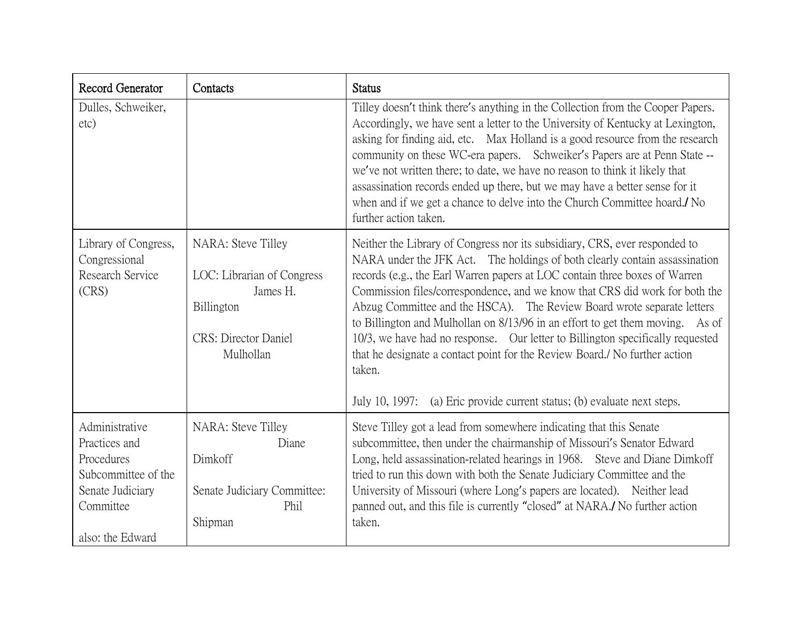| Record Generator                                                                                                          | Contacts                                                                                                                | <b>Status</b>                                                                                                                                                                                                                                                                                                                                                                                                                                                                                                                                                                                                                                                                                                                          |
|---------------------------------------------------------------------------------------------------------------------------|-------------------------------------------------------------------------------------------------------------------------|----------------------------------------------------------------------------------------------------------------------------------------------------------------------------------------------------------------------------------------------------------------------------------------------------------------------------------------------------------------------------------------------------------------------------------------------------------------------------------------------------------------------------------------------------------------------------------------------------------------------------------------------------------------------------------------------------------------------------------------|
| Dulles, Schweiker,<br>etc)                                                                                                |                                                                                                                         | Tilley doesn't think there's anything in the Collection from the Cooper Papers.<br>Accordingly, we have sent a letter to the University of Kentucky at Lexington,<br>asking for finding aid, etc. Max Holland is a good resource from the research<br>community on these WC-era papers. Schweiker's Papers are at Penn State --<br>we've not written there; to date, we have no reason to think it likely that<br>assassination records ended up there, but we may have a better sense for it<br>when and if we get a chance to delve into the Church Committee hoard./ No<br>further action taken.                                                                                                                                    |
| Library of Congress,<br>Congressional<br>Research Service<br>(CRS)                                                        | NARA: Steve Tilley<br>LOC: Librarian of Congress<br>James H.<br>Billington<br><b>CRS</b> : Director Daniel<br>Mulhollan | Neither the Library of Congress nor its subsidiary, CRS, ever responded to<br>NARA under the JFK Act. The holdings of both clearly contain assassination<br>records (e.g., the Earl Warren papers at LOC contain three boxes of Warren<br>Commission files/correspondence, and we know that CRS did work for both the<br>Abzug Committee and the HSCA). The Review Board wrote separate letters<br>to Billington and Mulhollan on 8/13/96 in an effort to get them moving. As of<br>10/3, we have had no response. Our letter to Billington specifically requested<br>that he designate a contact point for the Review Board./ No further action<br>taken.<br>July 10, 1997: (a) Eric provide current status; (b) evaluate next steps. |
| Administrative<br>Practices and<br>Procedures<br>Subcommittee of the<br>Senate Judiciary<br>Committee<br>also: the Edward | NARA: Steve Tilley<br>Diane<br>Dimkoff<br>Senate Judiciary Committee:<br>Phil<br>Shipman                                | Steve Tilley got a lead from somewhere indicating that this Senate<br>subcommittee, then under the chairmanship of Missouri's Senator Edward<br>Long, held assassination-related hearings in 1968. Steve and Diane Dimkoff<br>tried to run this down with both the Senate Judiciary Committee and the<br>University of Missouri (where Long's papers are located). Neither lead<br>panned out, and this file is currently "closed" at NARA./ No further action<br>taken.                                                                                                                                                                                                                                                               |